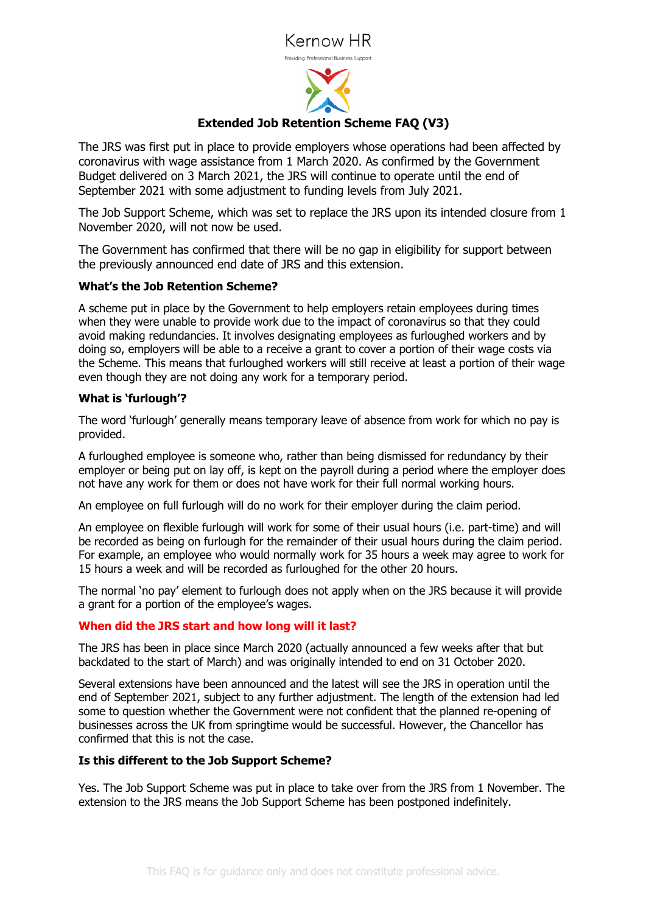# Kernow HR



## **Extended Job Retention Scheme FAQ (V3)**

The JRS was first put in place to provide employers whose operations had been affected by coronavirus with wage assistance from 1 March 2020. As confirmed by the Government Budget delivered on 3 March 2021, the JRS will continue to operate until the end of September 2021 with some adjustment to funding levels from July 2021.

The Job Support Scheme, which was set to replace the JRS upon its intended closure from 1 November 2020, will not now be used.

The Government has confirmed that there will be no gap in eligibility for support between the previously announced end date of JRS and this extension.

### **What's the Job Retention Scheme?**

A scheme put in place by the Government to help employers retain employees during times when they were unable to provide work due to the impact of coronavirus so that they could avoid making redundancies. It involves designating employees as furloughed workers and by doing so, employers will be able to a receive a grant to cover a portion of their wage costs via the Scheme. This means that furloughed workers will still receive at least a portion of their wage even though they are not doing any work for a temporary period.

### **What is 'furlough'?**

The word 'furlough' generally means temporary leave of absence from work for which no pay is provided.

A furloughed employee is someone who, rather than being dismissed for redundancy by their employer or being put on lay off, is kept on the payroll during a period where the employer does not have any work for them or does not have work for their full normal working hours.

An employee on full furlough will do no work for their employer during the claim period.

An employee on flexible furlough will work for some of their usual hours (i.e. part-time) and will be recorded as being on furlough for the remainder of their usual hours during the claim period. For example, an employee who would normally work for 35 hours a week may agree to work for 15 hours a week and will be recorded as furloughed for the other 20 hours.

The normal 'no pay' element to furlough does not apply when on the JRS because it will provide a grant for a portion of the employee's wages.

### **When did the JRS start and how long will it last?**

The JRS has been in place since March 2020 (actually announced a few weeks after that but backdated to the start of March) and was originally intended to end on 31 October 2020.

Several extensions have been announced and the latest will see the JRS in operation until the end of September 2021, subject to any further adjustment. The length of the extension had led some to question whether the Government were not confident that the planned re-opening of businesses across the UK from springtime would be successful. However, the Chancellor has confirmed that this is not the case.

### **Is this different to the Job Support Scheme?**

Yes. The Job Support Scheme was put in place to take over from the JRS from 1 November. The extension to the JRS means the Job Support Scheme has been postponed indefinitely.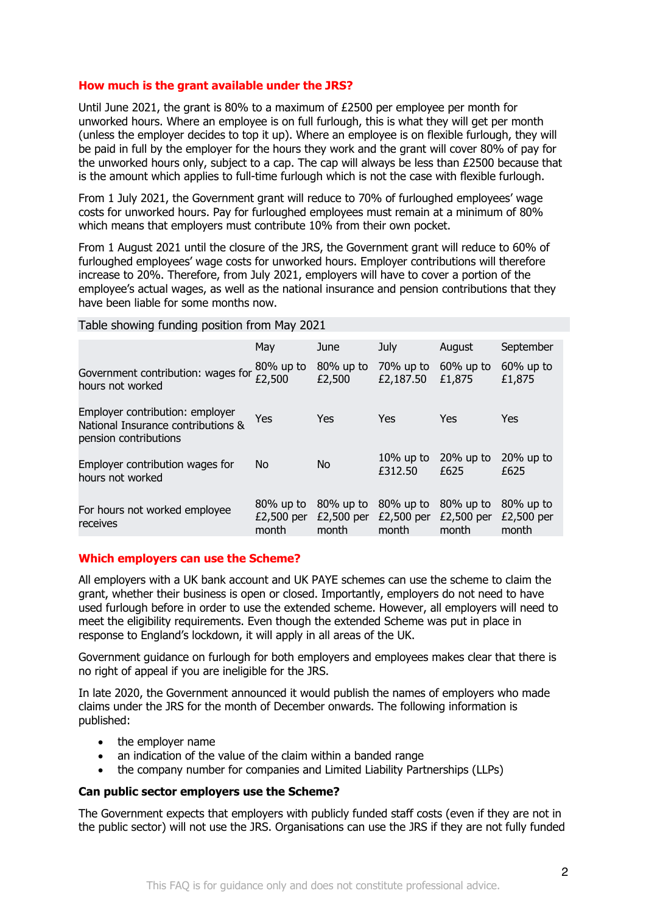### **How much is the grant available under the JRS?**

Until June 2021, the grant is 80% to a maximum of £2500 per employee per month for unworked hours. Where an employee is on full furlough, this is what they will get per month (unless the employer decides to top it up). Where an employee is on flexible furlough, they will be paid in full by the employer for the hours they work and the grant will cover 80% of pay for the unworked hours only, subject to a cap. The cap will always be less than £2500 because that is the amount which applies to full-time furlough which is not the case with flexible furlough.

From 1 July 2021, the Government grant will reduce to 70% of furloughed employees' wage costs for unworked hours. Pay for furloughed employees must remain at a minimum of 80% which means that employers must contribute 10% from their own pocket.

From 1 August 2021 until the closure of the JRS, the Government grant will reduce to 60% of furloughed employees' wage costs for unworked hours. Employer contributions will therefore increase to 20%. Therefore, from July 2021, employers will have to cover a portion of the employee's actual wages, as well as the national insurance and pension contributions that they have been liable for some months now.

#### Table showing funding position from May 2021

|                                                                                                | May                                 | June                                | July                                | August                              | September                           |
|------------------------------------------------------------------------------------------------|-------------------------------------|-------------------------------------|-------------------------------------|-------------------------------------|-------------------------------------|
| Government contribution: wages for $\frac{80\%}{E2,500}$ up to<br>hours not worked             |                                     | 80% up to<br>£2,500                 | 70% up to<br>£2,187.50              | $60\%$ up to<br>£1,875              | $60\%$ up to<br>£1,875              |
| Employer contribution: employer<br>National Insurance contributions &<br>pension contributions | Yes                                 | Yes                                 | Yes                                 | Yes                                 | Yes                                 |
| Employer contribution wages for<br>hours not worked                                            | No.                                 | No.                                 | $10\%$ up to<br>£312.50             | $20\%$ up to<br>£625                | $20\%$ up to<br>£625                |
| For hours not worked employee<br>receives                                                      | $80\%$ up to<br>£2,500 per<br>month | $80\%$ up to<br>£2,500 per<br>month | $80\%$ up to<br>£2,500 per<br>month | $80\%$ up to<br>£2,500 per<br>month | $80\%$ up to<br>£2,500 per<br>month |

### **Which employers can use the Scheme?**

All employers with a UK bank account and UK PAYE schemes can use the scheme to claim the grant, whether their business is open or closed. Importantly, employers do not need to have used furlough before in order to use the extended scheme. However, all employers will need to meet the eligibility requirements. Even though the extended Scheme was put in place in response to England's lockdown, it will apply in all areas of the UK.

Government guidance on furlough for both employers and employees makes clear that there is no right of appeal if you are ineligible for the JRS.

In late 2020, the Government announced it would publish the names of employers who made claims under the JRS for the month of December onwards. The following information is published:

- the employer name
- an indication of the value of the claim within a banded range
- the company number for companies and Limited Liability Partnerships (LLPs)

### **Can public sector employers use the Scheme?**

The Government expects that employers with publicly funded staff costs (even if they are not in the public sector) will not use the JRS. Organisations can use the JRS if they are not fully funded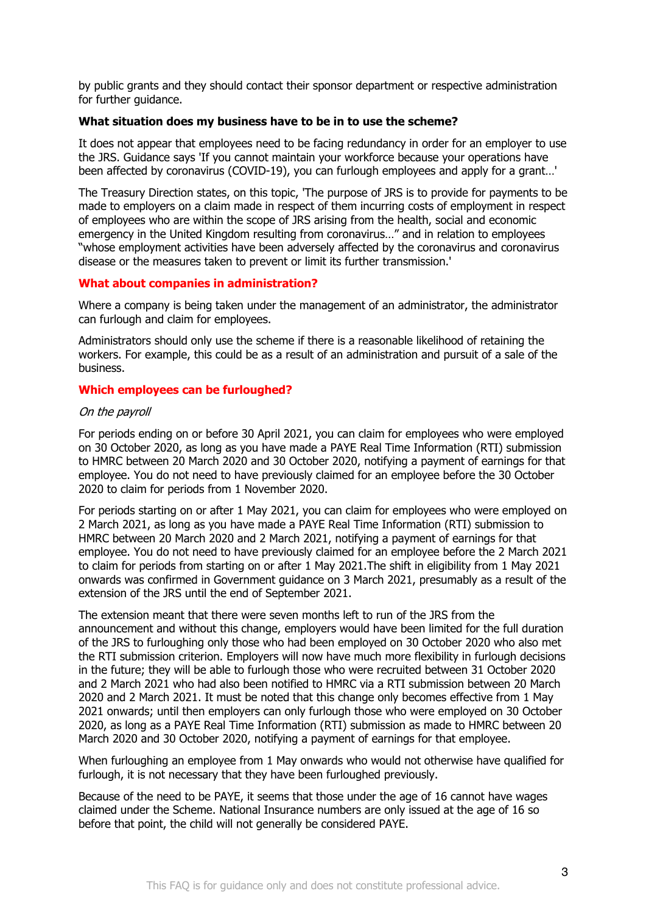by public grants and they should contact their sponsor department or respective administration for further guidance.

#### **What situation does my business have to be in to use the scheme?**

It does not appear that employees need to be facing redundancy in order for an employer to use the JRS. Guidance says 'If you cannot maintain your workforce because your operations have been affected by coronavirus (COVID-19), you can furlough employees and apply for a grant…'

The Treasury Direction states, on this topic, 'The purpose of JRS is to provide for payments to be made to employers on a claim made in respect of them incurring costs of employment in respect of employees who are within the scope of JRS arising from the health, social and economic emergency in the United Kingdom resulting from coronavirus…" and in relation to employees "whose employment activities have been adversely affected by the coronavirus and coronavirus disease or the measures taken to prevent or limit its further transmission.'

#### **What about companies in administration?**

Where a company is being taken under the management of an administrator, the administrator can furlough and claim for employees.

Administrators should only use the scheme if there is a reasonable likelihood of retaining the workers. For example, this could be as a result of an administration and pursuit of a sale of the business.

### **Which employees can be furloughed?**

#### On the payroll

For periods ending on or before 30 April 2021, you can claim for employees who were employed on 30 October 2020, as long as you have made a PAYE Real Time Information (RTI) submission to HMRC between 20 March 2020 and 30 October 2020, notifying a payment of earnings for that employee. You do not need to have previously claimed for an employee before the 30 October 2020 to claim for periods from 1 November 2020.

For periods starting on or after 1 May 2021, you can claim for employees who were employed on 2 March 2021, as long as you have made a PAYE Real Time Information (RTI) submission to HMRC between 20 March 2020 and 2 March 2021, notifying a payment of earnings for that employee. You do not need to have previously claimed for an employee before the 2 March 2021 to claim for periods from starting on or after 1 May 2021.The shift in eligibility from 1 May 2021 onwards was confirmed in Government guidance on 3 March 2021, presumably as a result of the extension of the JRS until the end of September 2021.

The extension meant that there were seven months left to run of the JRS from the announcement and without this change, employers would have been limited for the full duration of the JRS to furloughing only those who had been employed on 30 October 2020 who also met the RTI submission criterion. Employers will now have much more flexibility in furlough decisions in the future; they will be able to furlough those who were recruited between 31 October 2020 and 2 March 2021 who had also been notified to HMRC via a RTI submission between 20 March 2020 and 2 March 2021. It must be noted that this change only becomes effective from 1 May 2021 onwards; until then employers can only furlough those who were employed on 30 October 2020, as long as a PAYE Real Time Information (RTI) submission as made to HMRC between 20 March 2020 and 30 October 2020, notifying a payment of earnings for that employee.

When furloughing an employee from 1 May onwards who would not otherwise have qualified for furlough, it is not necessary that they have been furloughed previously.

Because of the need to be PAYE, it seems that those under the age of 16 cannot have wages claimed under the Scheme. National Insurance numbers are only issued at the age of 16 so before that point, the child will not generally be considered PAYE.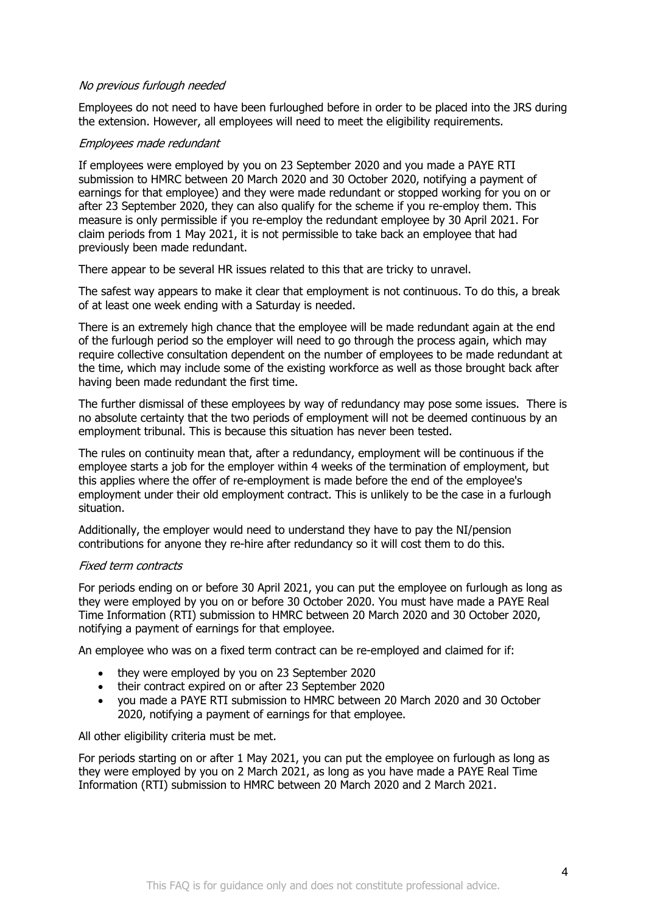### No previous furlough needed

Employees do not need to have been furloughed before in order to be placed into the JRS during the extension. However, all employees will need to meet the eligibility requirements.

### Employees made redundant

If employees were employed by you on 23 September 2020 and you made a PAYE RTI submission to HMRC between 20 March 2020 and 30 October 2020, notifying a payment of earnings for that employee) and they were made redundant or stopped working for you on or after 23 September 2020, they can also qualify for the scheme if you re-employ them. This measure is only permissible if you re-employ the redundant employee by 30 April 2021. For claim periods from 1 May 2021, it is not permissible to take back an employee that had previously been made redundant.

There appear to be several HR issues related to this that are tricky to unravel.

The safest way appears to make it clear that employment is not continuous. To do this, a break of at least one week ending with a Saturday is needed.

There is an extremely high chance that the employee will be made redundant again at the end of the furlough period so the employer will need to go through the process again, which may require collective consultation dependent on the number of employees to be made redundant at the time, which may include some of the existing workforce as well as those brought back after having been made redundant the first time.

The further dismissal of these employees by way of redundancy may pose some issues. There is no absolute certainty that the two periods of employment will not be deemed continuous by an employment tribunal. This is because this situation has never been tested.

The rules on continuity mean that, after a redundancy, employment will be continuous if the employee starts a job for the employer within 4 weeks of the termination of employment, but this applies where the offer of re-employment is made before the end of the employee's employment under their old employment contract. This is unlikely to be the case in a furlough situation.

Additionally, the employer would need to understand they have to pay the NI/pension contributions for anyone they re-hire after redundancy so it will cost them to do this.

### Fixed term contracts

For periods ending on or before 30 April 2021, you can put the employee on furlough as long as they were employed by you on or before 30 October 2020. You must have made a PAYE Real Time Information (RTI) submission to HMRC between 20 March 2020 and 30 October 2020, notifying a payment of earnings for that employee.

An employee who was on a fixed term contract can be re-employed and claimed for if:

- they were employed by you on 23 September 2020
- their contract expired on or after 23 September 2020
- you made a PAYE RTI submission to HMRC between 20 March 2020 and 30 October 2020, notifying a payment of earnings for that employee.

All other eligibility criteria must be met.

For periods starting on or after 1 May 2021, you can put the employee on furlough as long as they were employed by you on 2 March 2021, as long as you have made a PAYE Real Time Information (RTI) submission to HMRC between 20 March 2020 and 2 March 2021.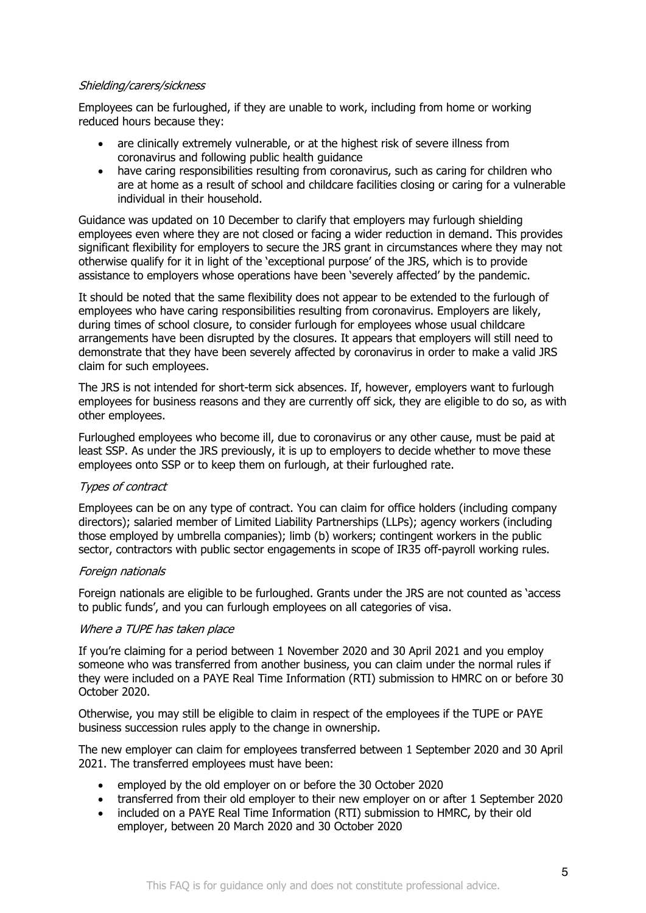### Shielding/carers/sickness

Employees can be furloughed, if they are unable to work, including from home or working reduced hours because they:

- are clinically extremely vulnerable, or at the highest risk of severe illness from coronavirus and following public health guidance
- have caring responsibilities resulting from coronavirus, such as caring for children who are at home as a result of school and childcare facilities closing or caring for a vulnerable individual in their household.

Guidance was updated on 10 December to clarify that employers may furlough shielding employees even where they are not closed or facing a wider reduction in demand. This provides significant flexibility for employers to secure the JRS grant in circumstances where they may not otherwise qualify for it in light of the 'exceptional purpose' of the JRS, which is to provide assistance to employers whose operations have been 'severely affected' by the pandemic.

It should be noted that the same flexibility does not appear to be extended to the furlough of employees who have caring responsibilities resulting from coronavirus. Employers are likely, during times of school closure, to consider furlough for employees whose usual childcare arrangements have been disrupted by the closures. It appears that employers will still need to demonstrate that they have been severely affected by coronavirus in order to make a valid JRS claim for such employees.

The JRS is not intended for short-term sick absences. If, however, employers want to furlough employees for business reasons and they are currently off sick, they are eligible to do so, as with other employees.

Furloughed employees who become ill, due to coronavirus or any other cause, must be paid at least SSP. As under the JRS previously, it is up to employers to decide whether to move these employees onto SSP or to keep them on furlough, at their furloughed rate.

### Types of contract

Employees can be on any type of contract. You can claim for office holders (including company directors); salaried member of Limited Liability Partnerships (LLPs); agency workers (including those employed by umbrella companies); limb (b) workers; contingent workers in the public sector, contractors with public sector engagements in scope of IR35 off-payroll working rules.

### Foreign nationals

Foreign nationals are eligible to be furloughed. Grants under the JRS are not counted as 'access to public funds', and you can furlough employees on all categories of visa.

### Where a TUPE has taken place

If you're claiming for a period between 1 November 2020 and 30 April 2021 and you employ someone who was transferred from another business, you can claim under the normal rules if they were included on a PAYE Real Time Information (RTI) submission to HMRC on or before 30 October 2020.

Otherwise, you may still be eligible to claim in respect of the employees if the TUPE or PAYE business succession rules apply to the change in ownership.

The new employer can claim for employees transferred between 1 September 2020 and 30 April 2021. The transferred employees must have been:

- employed by the old employer on or before the 30 October 2020
- transferred from their old employer to their new employer on or after 1 September 2020
- included on a PAYE Real Time Information (RTI) submission to HMRC, by their old employer, between 20 March 2020 and 30 October 2020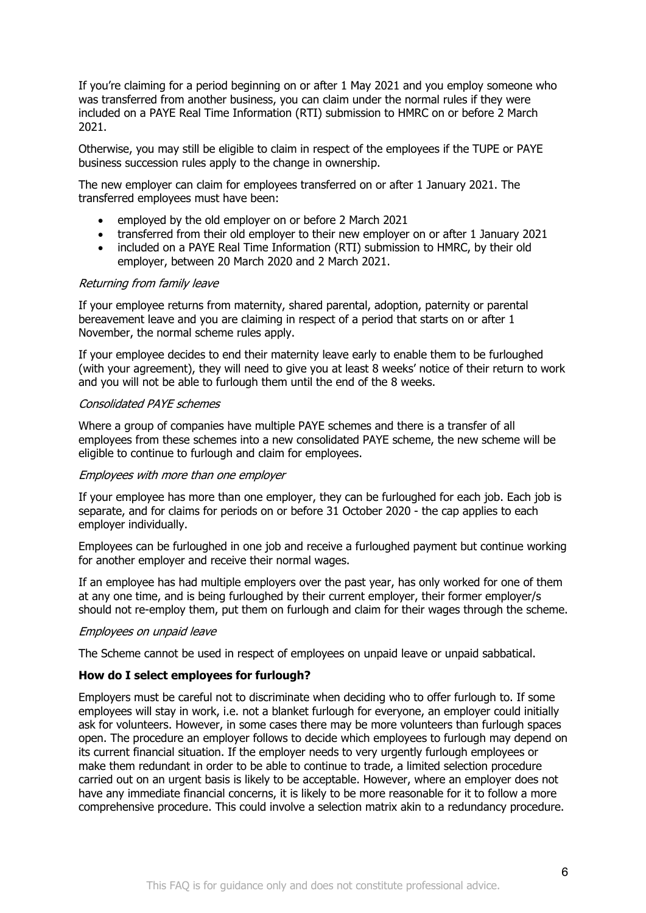If you're claiming for a period beginning on or after 1 May 2021 and you employ someone who was transferred from another business, you can claim under the normal rules if they were included on a PAYE Real Time Information (RTI) submission to HMRC on or before 2 March 2021.

Otherwise, you may still be eligible to claim in respect of the employees if the TUPE or PAYE business succession rules apply to the change in ownership.

The new employer can claim for employees transferred on or after 1 January 2021. The transferred employees must have been:

- employed by the old employer on or before 2 March 2021
- transferred from their old employer to their new employer on or after 1 January 2021
- included on a PAYE Real Time Information (RTI) submission to HMRC, by their old employer, between 20 March 2020 and 2 March 2021.

### Returning from family leave

If your employee returns from maternity, shared parental, adoption, paternity or parental bereavement leave and you are claiming in respect of a period that starts on or after 1 November, the normal scheme rules apply.

If your employee decides to end their maternity leave early to enable them to be furloughed (with your agreement), they will need to give you at least 8 weeks' notice of their return to work and you will not be able to furlough them until the end of the 8 weeks.

### Consolidated PAYE schemes

Where a group of companies have multiple PAYE schemes and there is a transfer of all employees from these schemes into a new consolidated PAYE scheme, the new scheme will be eligible to continue to furlough and claim for employees.

### Employees with more than one employer

If your employee has more than one employer, they can be furloughed for each job. Each job is separate, and for claims for periods on or before 31 October 2020 - the cap applies to each employer individually.

Employees can be furloughed in one job and receive a furloughed payment but continue working for another employer and receive their normal wages.

If an employee has had multiple employers over the past year, has only worked for one of them at any one time, and is being furloughed by their current employer, their former employer/s should not re-employ them, put them on furlough and claim for their wages through the scheme.

### Employees on unpaid leave

The Scheme cannot be used in respect of employees on unpaid leave or unpaid sabbatical.

### **How do I select employees for furlough?**

Employers must be careful not to discriminate when deciding who to offer furlough to. If some employees will stay in work, i.e. not a blanket furlough for everyone, an employer could initially ask for volunteers. However, in some cases there may be more volunteers than furlough spaces open. The procedure an employer follows to decide which employees to furlough may depend on its current financial situation. If the employer needs to very urgently furlough employees or make them redundant in order to be able to continue to trade, a limited selection procedure carried out on an urgent basis is likely to be acceptable. However, where an employer does not have any immediate financial concerns, it is likely to be more reasonable for it to follow a more comprehensive procedure. This could involve a selection matrix akin to a redundancy procedure.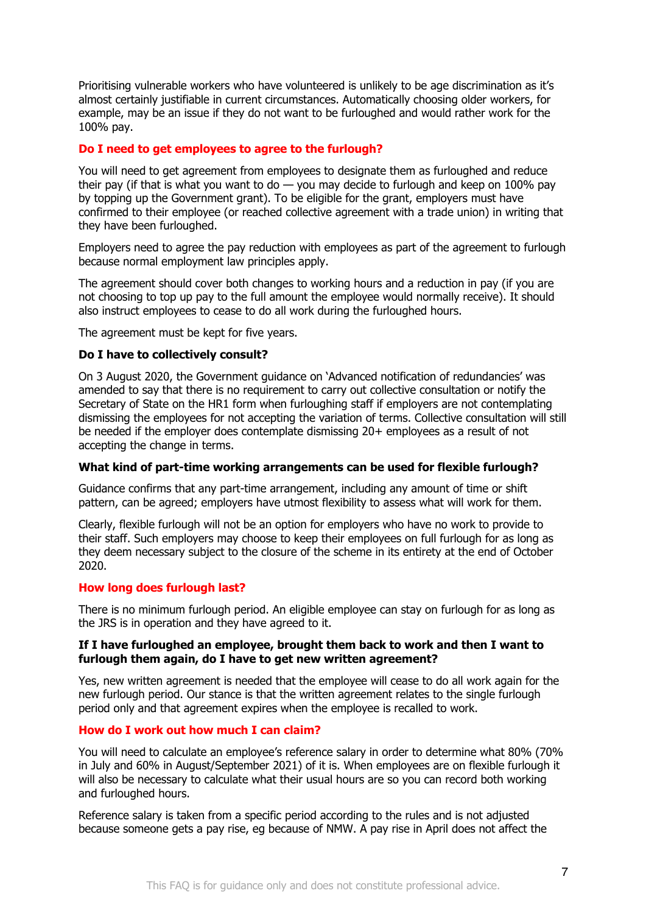Prioritising vulnerable workers who have volunteered is unlikely to be age discrimination as it's almost certainly justifiable in current circumstances. Automatically choosing older workers, for example, may be an issue if they do not want to be furloughed and would rather work for the 100% pay.

### **Do I need to get employees to agree to the furlough?**

You will need to get agreement from employees to designate them as furloughed and reduce their pay (if that is what you want to do  $-$  you may decide to furlough and keep on 100% pay by topping up the Government grant). To be eligible for the grant, employers must have confirmed to their employee (or reached collective agreement with a trade union) in writing that they have been furloughed.

Employers need to agree the pay reduction with employees as part of the agreement to furlough because normal employment law principles apply.

The agreement should cover both changes to working hours and a reduction in pay (if you are not choosing to top up pay to the full amount the employee would normally receive). It should also instruct employees to cease to do all work during the furloughed hours.

The agreement must be kept for five years.

### **Do I have to collectively consult?**

On 3 August 2020, the Government guidance on 'Advanced notification of redundancies' was amended to say that there is no requirement to carry out collective consultation or notify the Secretary of State on the HR1 form when furloughing staff if employers are not contemplating dismissing the employees for not accepting the variation of terms. Collective consultation will still be needed if the employer does contemplate dismissing 20+ employees as a result of not accepting the change in terms.

### **What kind of part-time working arrangements can be used for flexible furlough?**

Guidance confirms that any part-time arrangement, including any amount of time or shift pattern, can be agreed; employers have utmost flexibility to assess what will work for them.

Clearly, flexible furlough will not be an option for employers who have no work to provide to their staff. Such employers may choose to keep their employees on full furlough for as long as they deem necessary subject to the closure of the scheme in its entirety at the end of October 2020.

### **How long does furlough last?**

There is no minimum furlough period. An eligible employee can stay on furlough for as long as the JRS is in operation and they have agreed to it.

#### **If I have furloughed an employee, brought them back to work and then I want to furlough them again, do I have to get new written agreement?**

Yes, new written agreement is needed that the employee will cease to do all work again for the new furlough period. Our stance is that the written agreement relates to the single furlough period only and that agreement expires when the employee is recalled to work.

### **How do I work out how much I can claim?**

You will need to calculate an employee's reference salary in order to determine what 80% (70% in July and 60% in August/September 2021) of it is. When employees are on flexible furlough it will also be necessary to calculate what their usual hours are so you can record both working and furloughed hours.

Reference salary is taken from a specific period according to the rules and is not adjusted because someone gets a pay rise, eg because of NMW. A pay rise in April does not affect the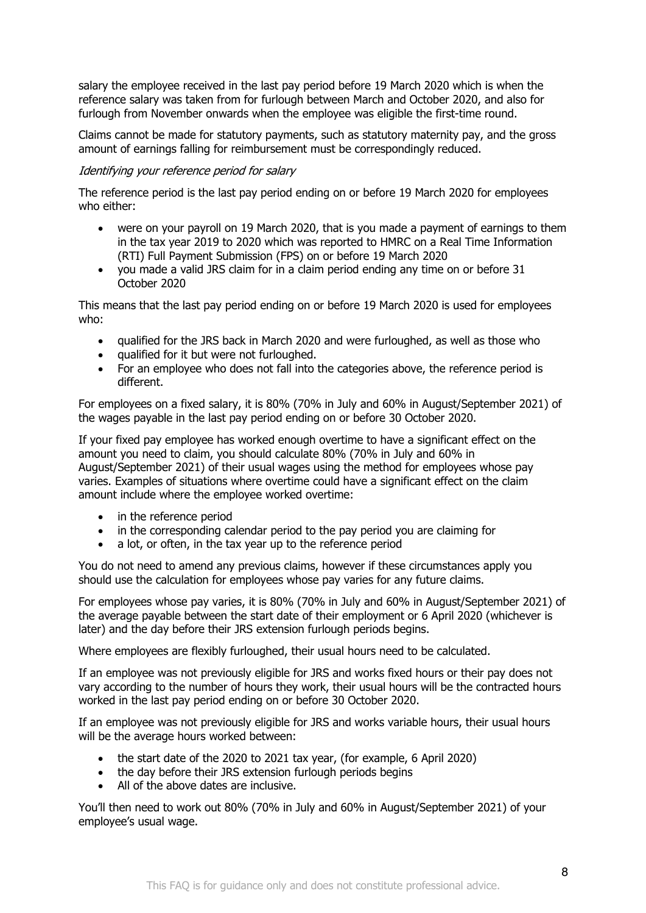salary the employee received in the last pay period before 19 March 2020 which is when the reference salary was taken from for furlough between March and October 2020, and also for furlough from November onwards when the employee was eligible the first-time round.

Claims cannot be made for statutory payments, such as statutory maternity pay, and the gross amount of earnings falling for reimbursement must be correspondingly reduced.

### Identifying your reference period for salary

The reference period is the last pay period ending on or before 19 March 2020 for employees who either:

- were on your payroll on 19 March 2020, that is you made a payment of earnings to them in the tax year 2019 to 2020 which was reported to HMRC on a Real Time Information (RTI) Full Payment Submission (FPS) on or before 19 March 2020
- you made a valid JRS claim for in a claim period ending any time on or before 31 October 2020

This means that the last pay period ending on or before 19 March 2020 is used for employees who:

- qualified for the JRS back in March 2020 and were furloughed, as well as those who
- qualified for it but were not furloughed.
- For an employee who does not fall into the categories above, the reference period is different.

For employees on a fixed salary, it is 80% (70% in July and 60% in August/September 2021) of the wages payable in the last pay period ending on or before 30 October 2020.

If your fixed pay employee has worked enough overtime to have a significant effect on the amount you need to claim, you should calculate 80% (70% in July and 60% in August/September 2021) of their usual wages using the method for employees whose pay varies. Examples of situations where overtime could have a significant effect on the claim amount include where the employee worked overtime:

- in the reference period
- in the corresponding calendar period to the pay period you are claiming for
- a lot, or often, in the tax year up to the reference period

You do not need to amend any previous claims, however if these circumstances apply you should use the calculation for employees whose pay varies for any future claims.

For employees whose pay varies, it is 80% (70% in July and 60% in August/September 2021) of the average payable between the start date of their employment or 6 April 2020 (whichever is later) and the day before their JRS extension furlough periods begins.

Where employees are flexibly furloughed, their usual hours need to be calculated.

If an employee was not previously eligible for JRS and works fixed hours or their pay does not vary according to the number of hours they work, their usual hours will be the contracted hours worked in the last pay period ending on or before 30 October 2020.

If an employee was not previously eligible for JRS and works variable hours, their usual hours will be the average hours worked between:

- the start date of the 2020 to 2021 tax year, (for example, 6 April 2020)
- the day before their JRS extension furlough periods begins
- All of the above dates are inclusive.

You'll then need to work out 80% (70% in July and 60% in August/September 2021) of your employee's usual wage.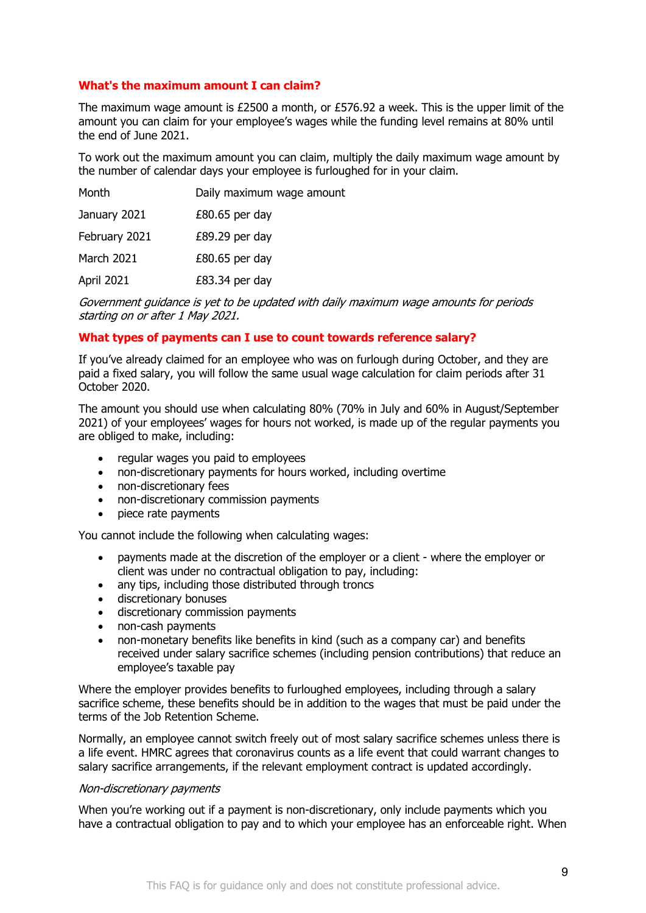### **What's the maximum amount I can claim?**

The maximum wage amount is £2500 a month, or £576.92 a week. This is the upper limit of the amount you can claim for your employee's wages while the funding level remains at 80% until the end of June 2021.

To work out the maximum amount you can claim, multiply the daily maximum wage amount by the number of calendar days your employee is furloughed for in your claim.

| Month         | Daily maximum wage amount |
|---------------|---------------------------|
| January 2021  | $£80.65$ per day          |
| February 2021 | $£89.29$ per day          |
| March 2021    | $£80.65$ per day          |
| April 2021    | $£83.34$ per day          |

Government guidance is yet to be updated with daily maximum wage amounts for periods starting on or after 1 May 2021.

### **What types of payments can I use to count towards reference salary?**

If you've already claimed for an employee who was on furlough during October, and they are paid a fixed salary, you will follow the same usual wage calculation for claim periods after 31 October 2020.

The amount you should use when calculating 80% (70% in July and 60% in August/September 2021) of your employees' wages for hours not worked, is made up of the regular payments you are obliged to make, including:

- regular wages you paid to employees
- non-discretionary payments for hours worked, including overtime
- non-discretionary fees
- non-discretionary commission payments
- piece rate payments

You cannot include the following when calculating wages:

- payments made at the discretion of the employer or a client where the employer or client was under no contractual obligation to pay, including:
- any tips, including those distributed through troncs
- discretionary bonuses
- discretionary commission payments
- non-cash payments
- non-monetary benefits like benefits in kind (such as a company car) and benefits received under salary sacrifice schemes (including pension contributions) that reduce an employee's taxable pay

Where the employer provides benefits to furloughed employees, including through a salary sacrifice scheme, these benefits should be in addition to the wages that must be paid under the terms of the Job Retention Scheme.

Normally, an employee cannot switch freely out of most salary sacrifice schemes unless there is a life event. HMRC agrees that coronavirus counts as a life event that could warrant changes to salary sacrifice arrangements, if the relevant employment contract is updated accordingly.

#### Non-discretionary payments

When you're working out if a payment is non-discretionary, only include payments which you have a contractual obligation to pay and to which your employee has an enforceable right. When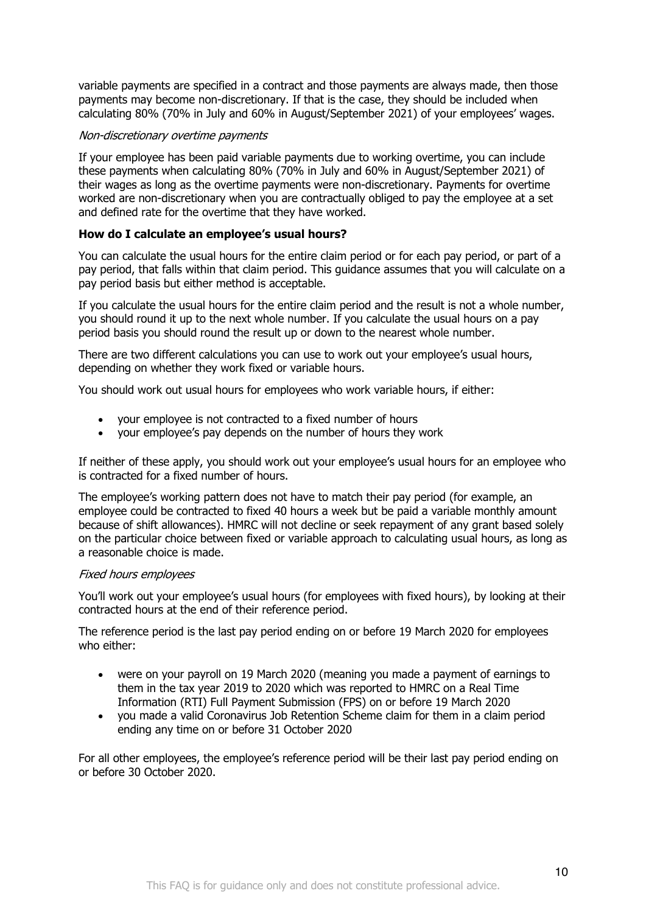variable payments are specified in a contract and those payments are always made, then those payments may become non-discretionary. If that is the case, they should be included when calculating 80% (70% in July and 60% in August/September 2021) of your employees' wages.

### Non-discretionary overtime payments

If your employee has been paid variable payments due to working overtime, you can include these payments when calculating 80% (70% in July and 60% in August/September 2021) of their wages as long as the overtime payments were non-discretionary. Payments for overtime worked are non-discretionary when you are contractually obliged to pay the employee at a set and defined rate for the overtime that they have worked.

### **How do I calculate an employee's usual hours?**

You can calculate the usual hours for the entire claim period or for each pay period, or part of a pay period, that falls within that claim period. This guidance assumes that you will calculate on a pay period basis but either method is acceptable.

If you calculate the usual hours for the entire claim period and the result is not a whole number, you should round it up to the next whole number. If you calculate the usual hours on a pay period basis you should round the result up or down to the nearest whole number.

There are two different calculations you can use to work out your employee's usual hours, depending on whether they work fixed or variable hours.

You should work out usual hours for employees who work variable hours, if either:

- your employee is not contracted to a fixed number of hours
- your employee's pay depends on the number of hours they work

If neither of these apply, you should work out your employee's usual hours for an employee who is contracted for a fixed number of hours.

The employee's working pattern does not have to match their pay period (for example, an employee could be contracted to fixed 40 hours a week but be paid a variable monthly amount because of shift allowances). HMRC will not decline or seek repayment of any grant based solely on the particular choice between fixed or variable approach to calculating usual hours, as long as a reasonable choice is made.

### Fixed hours employees

You'll work out your employee's usual hours (for employees with fixed hours), by looking at their contracted hours at the end of their reference period.

The reference period is the last pay period ending on or before 19 March 2020 for employees who either:

- were on your payroll on 19 March 2020 (meaning you made a payment of earnings to them in the tax year 2019 to 2020 which was reported to HMRC on a Real Time Information (RTI) Full Payment Submission (FPS) on or before 19 March 2020
- you made a valid Coronavirus Job Retention Scheme claim for them in a claim period ending any time on or before 31 October 2020

For all other employees, the employee's reference period will be their last pay period ending on or before 30 October 2020.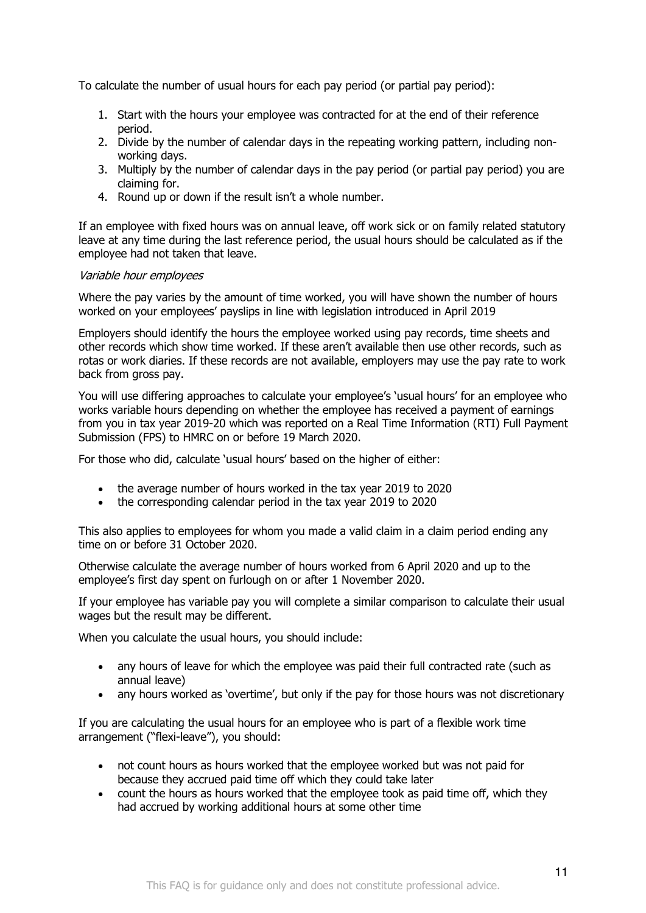To calculate the number of usual hours for each pay period (or partial pay period):

- 1. Start with the hours your employee was contracted for at the end of their reference period.
- 2. Divide by the number of calendar days in the repeating working pattern, including nonworking days.
- 3. Multiply by the number of calendar days in the pay period (or partial pay period) you are claiming for.
- 4. Round up or down if the result isn't a whole number.

If an employee with fixed hours was on annual leave, off work sick or on family related statutory leave at any time during the last reference period, the usual hours should be calculated as if the employee had not taken that leave.

### Variable hour employees

Where the pay varies by the amount of time worked, you will have shown the number of hours worked on your employees' payslips in line with legislation introduced in April 2019

Employers should identify the hours the employee worked using pay records, time sheets and other records which show time worked. If these aren't available then use other records, such as rotas or work diaries. If these records are not available, employers may use the pay rate to work back from gross pay.

You will use differing approaches to calculate your employee's 'usual hours' for an employee who works variable hours depending on whether the employee has received a payment of earnings from you in tax year 2019-20 which was reported on a Real Time Information (RTI) Full Payment Submission (FPS) to HMRC on or before 19 March 2020.

For those who did, calculate 'usual hours' based on the higher of either:

- the average number of hours worked in the tax year 2019 to 2020
- the corresponding calendar period in the tax year 2019 to 2020

This also applies to employees for whom you made a valid claim in a claim period ending any time on or before 31 October 2020.

Otherwise calculate the average number of hours worked from 6 April 2020 and up to the employee's first day spent on furlough on or after 1 November 2020.

If your employee has variable pay you will complete a similar comparison to calculate their usual wages but the result may be different.

When you calculate the usual hours, you should include:

- any hours of leave for which the employee was paid their full contracted rate (such as annual leave)
- any hours worked as 'overtime', but only if the pay for those hours was not discretionary

If you are calculating the usual hours for an employee who is part of a flexible work time arrangement ("flexi-leave"), you should:

- not count hours as hours worked that the employee worked but was not paid for because they accrued paid time off which they could take later
- count the hours as hours worked that the employee took as paid time off, which they had accrued by working additional hours at some other time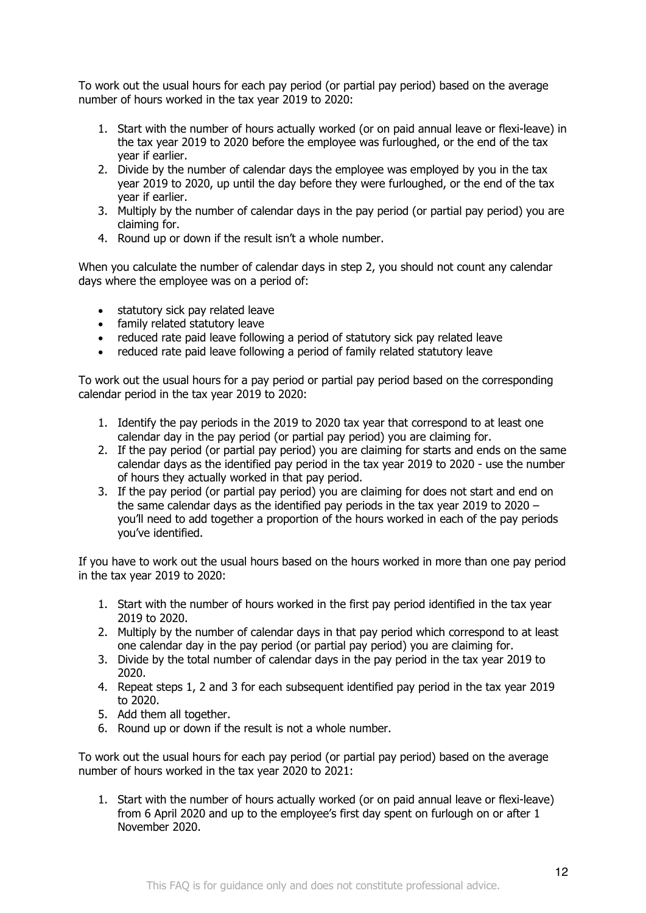To work out the usual hours for each pay period (or partial pay period) based on the average number of hours worked in the tax year 2019 to 2020:

- 1. Start with the number of hours actually worked (or on paid annual leave or flexi-leave) in the tax year 2019 to 2020 before the employee was furloughed, or the end of the tax year if earlier.
- 2. Divide by the number of calendar days the employee was employed by you in the tax year 2019 to 2020, up until the day before they were furloughed, or the end of the tax year if earlier.
- 3. Multiply by the number of calendar days in the pay period (or partial pay period) you are claiming for.
- 4. Round up or down if the result isn't a whole number.

When you calculate the number of calendar days in step 2, you should not count any calendar days where the employee was on a period of:

- statutory sick pay related leave
- family related statutory leave
- reduced rate paid leave following a period of statutory sick pay related leave
- reduced rate paid leave following a period of family related statutory leave

To work out the usual hours for a pay period or partial pay period based on the corresponding calendar period in the tax year 2019 to 2020:

- 1. Identify the pay periods in the 2019 to 2020 tax year that correspond to at least one calendar day in the pay period (or partial pay period) you are claiming for.
- 2. If the pay period (or partial pay period) you are claiming for starts and ends on the same calendar days as the identified pay period in the tax year 2019 to 2020 - use the number of hours they actually worked in that pay period.
- 3. If the pay period (or partial pay period) you are claiming for does not start and end on the same calendar days as the identified pay periods in the tax year 2019 to 2020 – you'll need to add together a proportion of the hours worked in each of the pay periods you've identified.

If you have to work out the usual hours based on the hours worked in more than one pay period in the tax year 2019 to 2020:

- 1. Start with the number of hours worked in the first pay period identified in the tax year 2019 to 2020.
- 2. Multiply by the number of calendar days in that pay period which correspond to at least one calendar day in the pay period (or partial pay period) you are claiming for.
- 3. Divide by the total number of calendar days in the pay period in the tax year 2019 to 2020.
- 4. Repeat steps 1, 2 and 3 for each subsequent identified pay period in the tax year 2019 to 2020.
- 5. Add them all together.
- 6. Round up or down if the result is not a whole number.

To work out the usual hours for each pay period (or partial pay period) based on the average number of hours worked in the tax year 2020 to 2021:

1. Start with the number of hours actually worked (or on paid annual leave or flexi-leave) from 6 April 2020 and up to the employee's first day spent on furlough on or after 1 November 2020.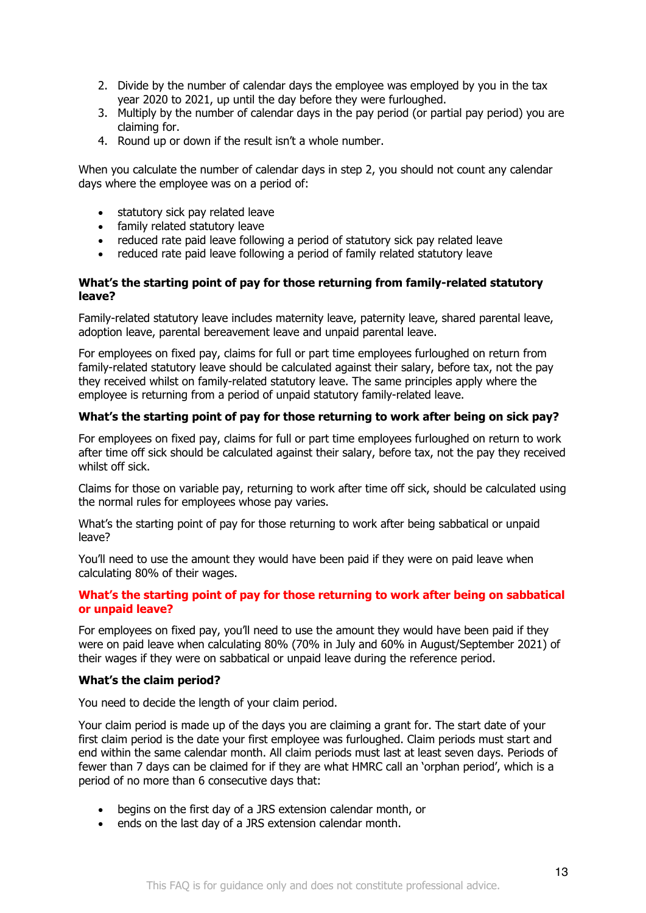- 2. Divide by the number of calendar days the employee was employed by you in the tax year 2020 to 2021, up until the day before they were furloughed.
- 3. Multiply by the number of calendar days in the pay period (or partial pay period) you are claiming for.
- 4. Round up or down if the result isn't a whole number.

When you calculate the number of calendar days in step 2, you should not count any calendar days where the employee was on a period of:

- statutory sick pay related leave
- family related statutory leave
- reduced rate paid leave following a period of statutory sick pay related leave
- reduced rate paid leave following a period of family related statutory leave

### **What's the starting point of pay for those returning from family-related statutory leave?**

Family-related statutory leave includes maternity leave, paternity leave, shared parental leave, adoption leave, parental bereavement leave and unpaid parental leave.

For employees on fixed pay, claims for full or part time employees furloughed on return from family-related statutory leave should be calculated against their salary, before tax, not the pay they received whilst on family-related statutory leave. The same principles apply where the employee is returning from a period of unpaid statutory family-related leave.

### **What's the starting point of pay for those returning to work after being on sick pay?**

For employees on fixed pay, claims for full or part time employees furloughed on return to work after time off sick should be calculated against their salary, before tax, not the pay they received whilst off sick.

Claims for those on variable pay, returning to work after time off sick, should be calculated using the normal rules for employees whose pay varies.

What's the starting point of pay for those returning to work after being sabbatical or unpaid leave?

You'll need to use the amount they would have been paid if they were on paid leave when calculating 80% of their wages.

### **What's the starting point of pay for those returning to work after being on sabbatical or unpaid leave?**

For employees on fixed pay, you'll need to use the amount they would have been paid if they were on paid leave when calculating 80% (70% in July and 60% in August/September 2021) of their wages if they were on sabbatical or unpaid leave during the reference period.

### **What's the claim period?**

You need to decide the length of your claim period.

Your claim period is made up of the days you are claiming a grant for. The start date of your first claim period is the date your first employee was furloughed. Claim periods must start and end within the same calendar month. All claim periods must last at least seven days. Periods of fewer than 7 days can be claimed for if they are what HMRC call an 'orphan period', which is a period of no more than 6 consecutive days that:

- begins on the first day of a JRS extension calendar month, or
- ends on the last day of a JRS extension calendar month.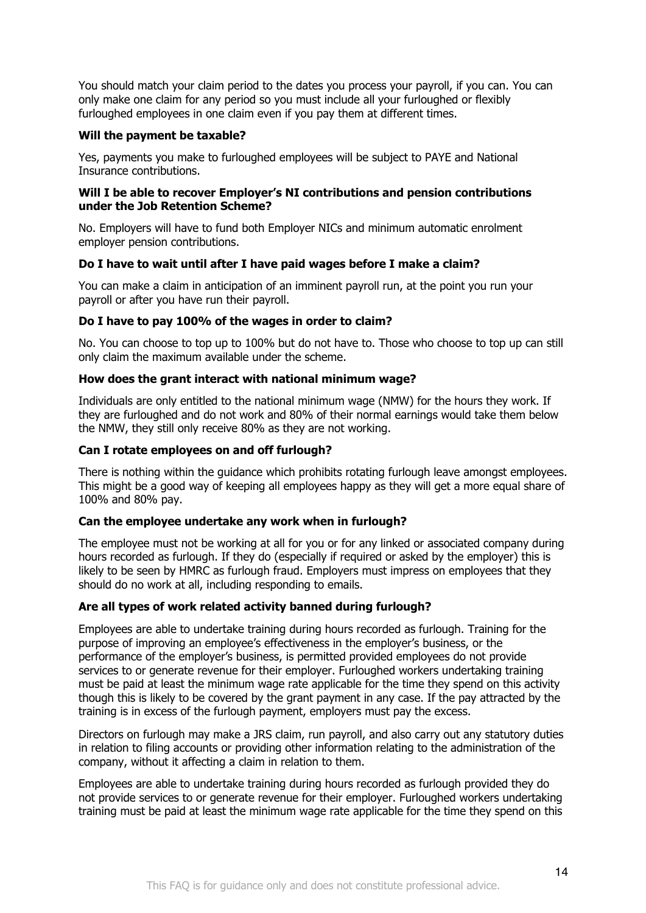You should match your claim period to the dates you process your payroll, if you can. You can only make one claim for any period so you must include all your furloughed or flexibly furloughed employees in one claim even if you pay them at different times.

### **Will the payment be taxable?**

Yes, payments you make to furloughed employees will be subject to PAYE and National Insurance contributions.

### **Will I be able to recover Employer's NI contributions and pension contributions under the Job Retention Scheme?**

No. Employers will have to fund both Employer NICs and minimum automatic enrolment employer pension contributions.

### **Do I have to wait until after I have paid wages before I make a claim?**

You can make a claim in anticipation of an imminent payroll run, at the point you run your payroll or after you have run their payroll.

### **Do I have to pay 100% of the wages in order to claim?**

No. You can choose to top up to 100% but do not have to. Those who choose to top up can still only claim the maximum available under the scheme.

### **How does the grant interact with national minimum wage?**

Individuals are only entitled to the national minimum wage (NMW) for the hours they work. If they are furloughed and do not work and 80% of their normal earnings would take them below the NMW, they still only receive 80% as they are not working.

### **Can I rotate employees on and off furlough?**

There is nothing within the guidance which prohibits rotating furlough leave amongst employees. This might be a good way of keeping all employees happy as they will get a more equal share of 100% and 80% pay.

### **Can the employee undertake any work when in furlough?**

The employee must not be working at all for you or for any linked or associated company during hours recorded as furlough. If they do (especially if required or asked by the employer) this is likely to be seen by HMRC as furlough fraud. Employers must impress on employees that they should do no work at all, including responding to emails.

### **Are all types of work related activity banned during furlough?**

Employees are able to undertake training during hours recorded as furlough. Training for the purpose of improving an employee's effectiveness in the employer's business, or the performance of the employer's business, is permitted provided employees do not provide services to or generate revenue for their employer. Furloughed workers undertaking training must be paid at least the minimum wage rate applicable for the time they spend on this activity though this is likely to be covered by the grant payment in any case. If the pay attracted by the training is in excess of the furlough payment, employers must pay the excess.

Directors on furlough may make a JRS claim, run payroll, and also carry out any statutory duties in relation to filing accounts or providing other information relating to the administration of the company, without it affecting a claim in relation to them.

Employees are able to undertake training during hours recorded as furlough provided they do not provide services to or generate revenue for their employer. Furloughed workers undertaking training must be paid at least the minimum wage rate applicable for the time they spend on this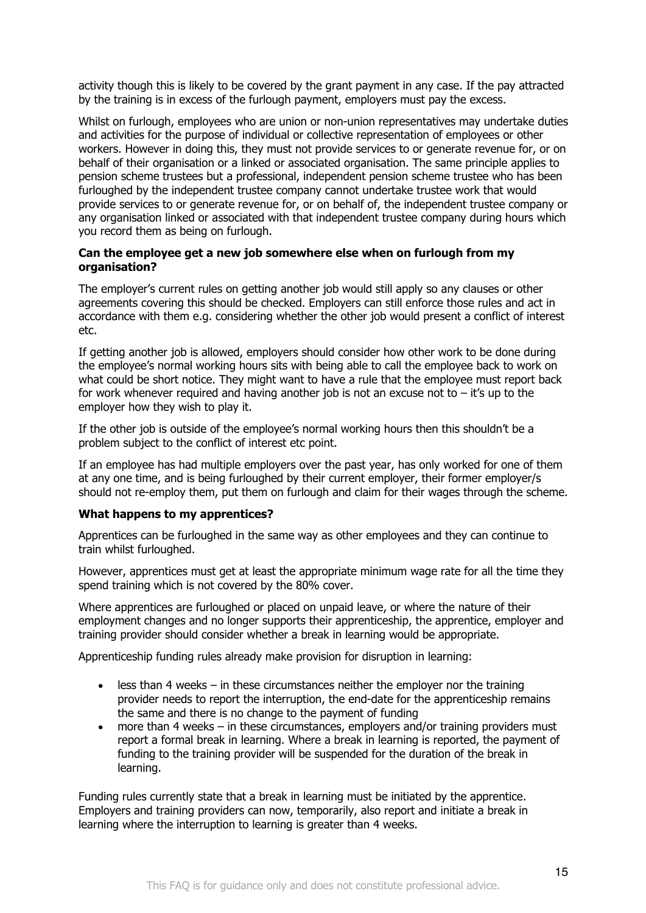activity though this is likely to be covered by the grant payment in any case. If the pay attracted by the training is in excess of the furlough payment, employers must pay the excess.

Whilst on furlough, employees who are union or non-union representatives may undertake duties and activities for the purpose of individual or collective representation of employees or other workers. However in doing this, they must not provide services to or generate revenue for, or on behalf of their organisation or a linked or associated organisation. The same principle applies to pension scheme trustees but a professional, independent pension scheme trustee who has been furloughed by the independent trustee company cannot undertake trustee work that would provide services to or generate revenue for, or on behalf of, the independent trustee company or any organisation linked or associated with that independent trustee company during hours which you record them as being on furlough.

### **Can the employee get a new job somewhere else when on furlough from my organisation?**

The employer's current rules on getting another job would still apply so any clauses or other agreements covering this should be checked. Employers can still enforce those rules and act in accordance with them e.g. considering whether the other job would present a conflict of interest etc.

If getting another job is allowed, employers should consider how other work to be done during the employee's normal working hours sits with being able to call the employee back to work on what could be short notice. They might want to have a rule that the employee must report back for work whenever required and having another job is not an excuse not to  $-$  it's up to the employer how they wish to play it.

If the other job is outside of the employee's normal working hours then this shouldn't be a problem subject to the conflict of interest etc point.

If an employee has had multiple employers over the past year, has only worked for one of them at any one time, and is being furloughed by their current employer, their former employer/s should not re-employ them, put them on furlough and claim for their wages through the scheme.

### **What happens to my apprentices?**

Apprentices can be furloughed in the same way as other employees and they can continue to train whilst furloughed.

However, apprentices must get at least the appropriate minimum wage rate for all the time they spend training which is not covered by the 80% cover.

Where apprentices are furloughed or placed on unpaid leave, or where the nature of their employment changes and no longer supports their apprenticeship, the apprentice, employer and training provider should consider whether a break in learning would be appropriate.

Apprenticeship funding rules already make provision for disruption in learning:

- less than 4 weeks in these circumstances neither the employer nor the training provider needs to report the interruption, the end-date for the apprenticeship remains the same and there is no change to the payment of funding
- more than 4 weeks in these circumstances, employers and/or training providers must report a formal break in learning. Where a break in learning is reported, the payment of funding to the training provider will be suspended for the duration of the break in learning.

Funding rules currently state that a break in learning must be initiated by the apprentice. Employers and training providers can now, temporarily, also report and initiate a break in learning where the interruption to learning is greater than 4 weeks.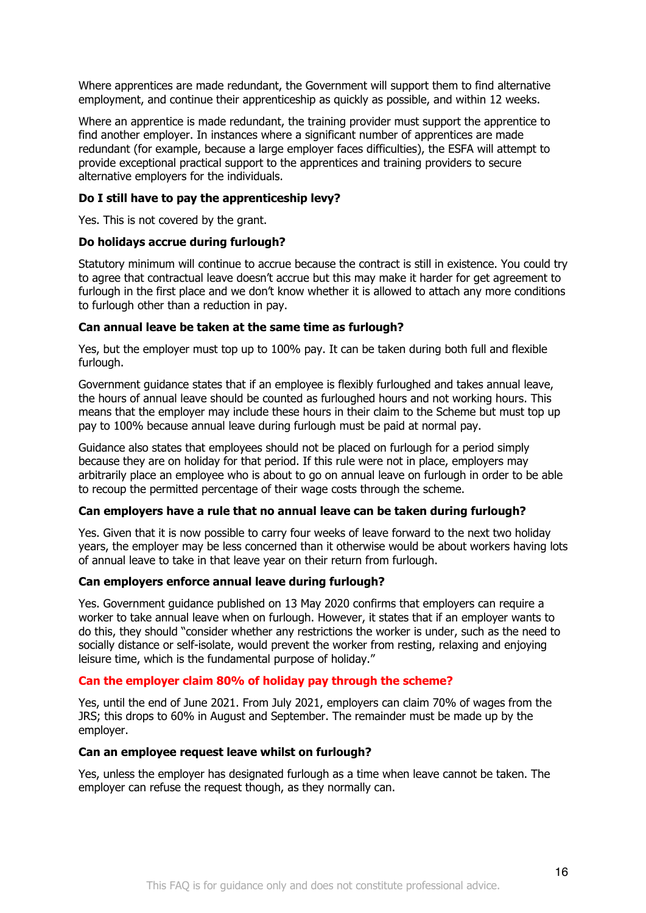Where apprentices are made redundant, the Government will support them to find alternative employment, and continue their apprenticeship as quickly as possible, and within 12 weeks.

Where an apprentice is made redundant, the training provider must support the apprentice to find another employer. In instances where a significant number of apprentices are made redundant (for example, because a large employer faces difficulties), the ESFA will attempt to provide exceptional practical support to the apprentices and training providers to secure alternative employers for the individuals.

### **Do I still have to pay the apprenticeship levy?**

Yes. This is not covered by the grant.

### **Do holidays accrue during furlough?**

Statutory minimum will continue to accrue because the contract is still in existence. You could try to agree that contractual leave doesn't accrue but this may make it harder for get agreement to furlough in the first place and we don't know whether it is allowed to attach any more conditions to furlough other than a reduction in pay.

### **Can annual leave be taken at the same time as furlough?**

Yes, but the employer must top up to 100% pay. It can be taken during both full and flexible furlough.

Government guidance states that if an employee is flexibly furloughed and takes annual leave, the hours of annual leave should be counted as furloughed hours and not working hours. This means that the employer may include these hours in their claim to the Scheme but must top up pay to 100% because annual leave during furlough must be paid at normal pay.

Guidance also states that employees should not be placed on furlough for a period simply because they are on holiday for that period. If this rule were not in place, employers may arbitrarily place an employee who is about to go on annual leave on furlough in order to be able to recoup the permitted percentage of their wage costs through the scheme.

### **Can employers have a rule that no annual leave can be taken during furlough?**

Yes. Given that it is now possible to carry four weeks of leave forward to the next two holiday years, the employer may be less concerned than it otherwise would be about workers having lots of annual leave to take in that leave year on their return from furlough.

### **Can employers enforce annual leave during furlough?**

Yes. Government guidance published on 13 May 2020 confirms that employers can require a worker to take annual leave when on furlough. However, it states that if an employer wants to do this, they should "consider whether any restrictions the worker is under, such as the need to socially distance or self-isolate, would prevent the worker from resting, relaxing and enjoying leisure time, which is the fundamental purpose of holiday."

### **Can the employer claim 80% of holiday pay through the scheme?**

Yes, until the end of June 2021. From July 2021, employers can claim 70% of wages from the JRS; this drops to 60% in August and September. The remainder must be made up by the employer.

### **Can an employee request leave whilst on furlough?**

Yes, unless the employer has designated furlough as a time when leave cannot be taken. The employer can refuse the request though, as they normally can.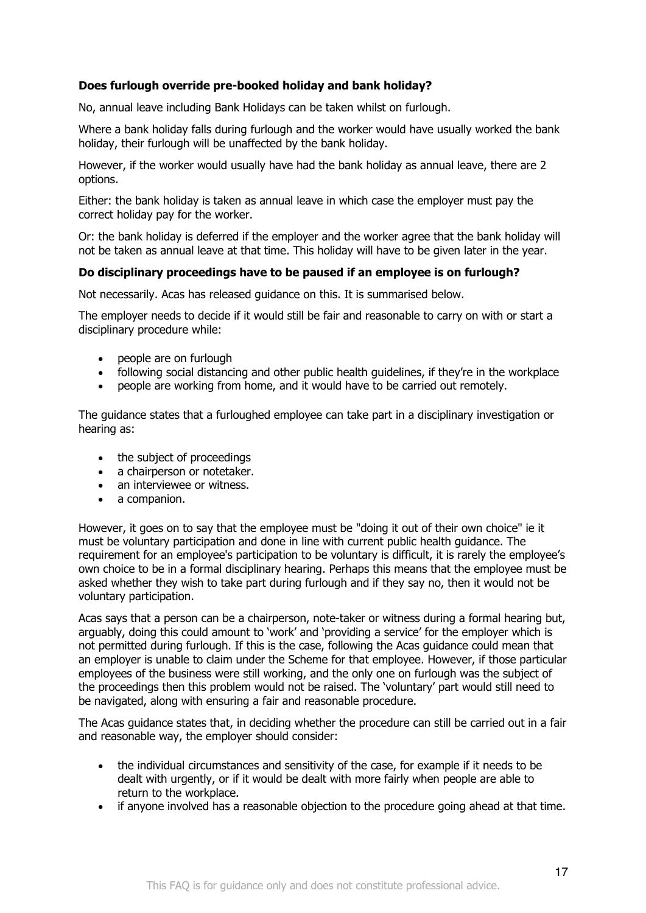### **Does furlough override pre-booked holiday and bank holiday?**

No, annual leave including Bank Holidays can be taken whilst on furlough.

Where a bank holiday falls during furlough and the worker would have usually worked the bank holiday, their furlough will be unaffected by the bank holiday.

However, if the worker would usually have had the bank holiday as annual leave, there are 2 options.

Either: the bank holiday is taken as annual leave in which case the employer must pay the correct holiday pay for the worker.

Or: the bank holiday is deferred if the employer and the worker agree that the bank holiday will not be taken as annual leave at that time. This holiday will have to be given later in the year.

### **Do disciplinary proceedings have to be paused if an employee is on furlough?**

Not necessarily. Acas has released guidance on this. It is summarised below.

The employer needs to decide if it would still be fair and reasonable to carry on with or start a disciplinary procedure while:

- people are on furlough
- following social distancing and other public health guidelines, if they're in the workplace
- people are working from home, and it would have to be carried out remotely.

The guidance states that a furloughed employee can take part in a disciplinary investigation or hearing as:

- the subject of proceedings
- a chairperson or notetaker.
- an interviewee or witness.
- a companion.

However, it goes on to say that the employee must be "doing it out of their own choice" ie it must be voluntary participation and done in line with current public health guidance. The requirement for an employee's participation to be voluntary is difficult, it is rarely the employee's own choice to be in a formal disciplinary hearing. Perhaps this means that the employee must be asked whether they wish to take part during furlough and if they say no, then it would not be voluntary participation.

Acas says that a person can be a chairperson, note-taker or witness during a formal hearing but, arguably, doing this could amount to 'work' and 'providing a service' for the employer which is not permitted during furlough. If this is the case, following the Acas guidance could mean that an employer is unable to claim under the Scheme for that employee. However, if those particular employees of the business were still working, and the only one on furlough was the subject of the proceedings then this problem would not be raised. The 'voluntary' part would still need to be navigated, along with ensuring a fair and reasonable procedure.

The Acas guidance states that, in deciding whether the procedure can still be carried out in a fair and reasonable way, the employer should consider:

- the individual circumstances and sensitivity of the case, for example if it needs to be dealt with urgently, or if it would be dealt with more fairly when people are able to return to the workplace.
- if anyone involved has a reasonable objection to the procedure going ahead at that time.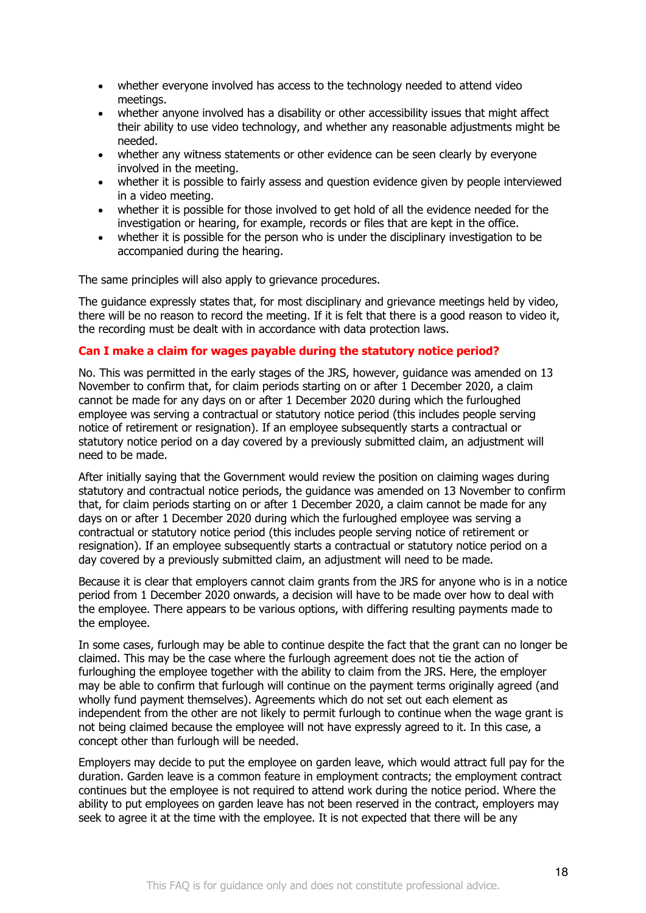- whether everyone involved has access to the technology needed to attend video meetings.
- whether anyone involved has a disability or other accessibility issues that might affect their ability to use video technology, and whether any reasonable adjustments might be needed.
- whether any witness statements or other evidence can be seen clearly by everyone involved in the meeting.
- whether it is possible to fairly assess and question evidence given by people interviewed in a video meeting.
- whether it is possible for those involved to get hold of all the evidence needed for the investigation or hearing, for example, records or files that are kept in the office.
- whether it is possible for the person who is under the disciplinary investigation to be accompanied during the hearing.

The same principles will also apply to grievance procedures.

The guidance expressly states that, for most disciplinary and grievance meetings held by video, there will be no reason to record the meeting. If it is felt that there is a good reason to video it, the recording must be dealt with in accordance with data protection laws.

### **Can I make a claim for wages payable during the statutory notice period?**

No. This was permitted in the early stages of the JRS, however, guidance was amended on 13 November to confirm that, for claim periods starting on or after 1 December 2020, a claim cannot be made for any days on or after 1 December 2020 during which the furloughed employee was serving a contractual or statutory notice period (this includes people serving notice of retirement or resignation). If an employee subsequently starts a contractual or statutory notice period on a day covered by a previously submitted claim, an adjustment will need to be made.

After initially saying that the Government would review the position on claiming wages during statutory and contractual notice periods, the guidance was amended on 13 November to confirm that, for claim periods starting on or after 1 December 2020, a claim cannot be made for any days on or after 1 December 2020 during which the furloughed employee was serving a contractual or statutory notice period (this includes people serving notice of retirement or resignation). If an employee subsequently starts a contractual or statutory notice period on a day covered by a previously submitted claim, an adjustment will need to be made.

Because it is clear that employers cannot claim grants from the JRS for anyone who is in a notice period from 1 December 2020 onwards, a decision will have to be made over how to deal with the employee. There appears to be various options, with differing resulting payments made to the employee.

In some cases, furlough may be able to continue despite the fact that the grant can no longer be claimed. This may be the case where the furlough agreement does not tie the action of furloughing the employee together with the ability to claim from the JRS. Here, the employer may be able to confirm that furlough will continue on the payment terms originally agreed (and wholly fund payment themselves). Agreements which do not set out each element as independent from the other are not likely to permit furlough to continue when the wage grant is not being claimed because the employee will not have expressly agreed to it. In this case, a concept other than furlough will be needed.

Employers may decide to put the employee on garden leave, which would attract full pay for the duration. Garden leave is a common feature in employment contracts; the employment contract continues but the employee is not required to attend work during the notice period. Where the ability to put employees on garden leave has not been reserved in the contract, employers may seek to agree it at the time with the employee. It is not expected that there will be any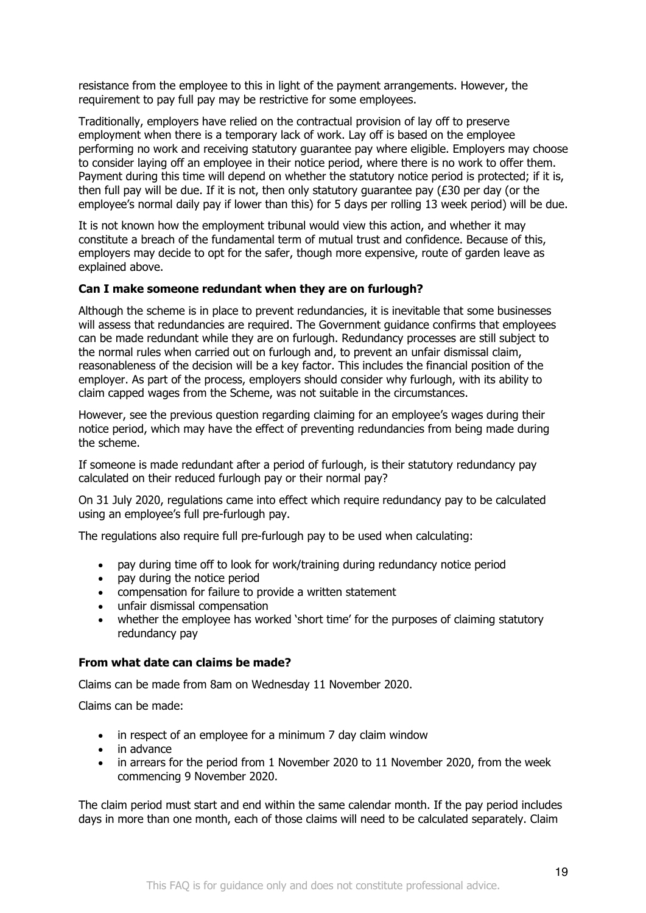resistance from the employee to this in light of the payment arrangements. However, the requirement to pay full pay may be restrictive for some employees.

Traditionally, employers have relied on the contractual provision of lay off to preserve employment when there is a temporary lack of work. Lay off is based on the employee performing no work and receiving statutory guarantee pay where eligible. Employers may choose to consider laying off an employee in their notice period, where there is no work to offer them. Payment during this time will depend on whether the statutory notice period is protected; if it is, then full pay will be due. If it is not, then only statutory quarantee pay  $(E30$  per day (or the employee's normal daily pay if lower than this) for 5 days per rolling 13 week period) will be due.

It is not known how the employment tribunal would view this action, and whether it may constitute a breach of the fundamental term of mutual trust and confidence. Because of this, employers may decide to opt for the safer, though more expensive, route of garden leave as explained above.

### **Can I make someone redundant when they are on furlough?**

Although the scheme is in place to prevent redundancies, it is inevitable that some businesses will assess that redundancies are required. The Government guidance confirms that employees can be made redundant while they are on furlough. Redundancy processes are still subject to the normal rules when carried out on furlough and, to prevent an unfair dismissal claim, reasonableness of the decision will be a key factor. This includes the financial position of the employer. As part of the process, employers should consider why furlough, with its ability to claim capped wages from the Scheme, was not suitable in the circumstances.

However, see the previous question regarding claiming for an employee's wages during their notice period, which may have the effect of preventing redundancies from being made during the scheme.

If someone is made redundant after a period of furlough, is their statutory redundancy pay calculated on their reduced furlough pay or their normal pay?

On 31 July 2020, regulations came into effect which require redundancy pay to be calculated using an employee's full pre-furlough pay.

The regulations also require full pre-furlough pay to be used when calculating:

- pay during time off to look for work/training during redundancy notice period
- pay during the notice period
- compensation for failure to provide a written statement
- unfair dismissal compensation
- whether the employee has worked 'short time' for the purposes of claiming statutory redundancy pay

### **From what date can claims be made?**

Claims can be made from 8am on Wednesday 11 November 2020.

Claims can be made:

- in respect of an employee for a minimum 7 day claim window
- in advance
- in arrears for the period from 1 November 2020 to 11 November 2020, from the week commencing 9 November 2020.

The claim period must start and end within the same calendar month. If the pay period includes days in more than one month, each of those claims will need to be calculated separately. Claim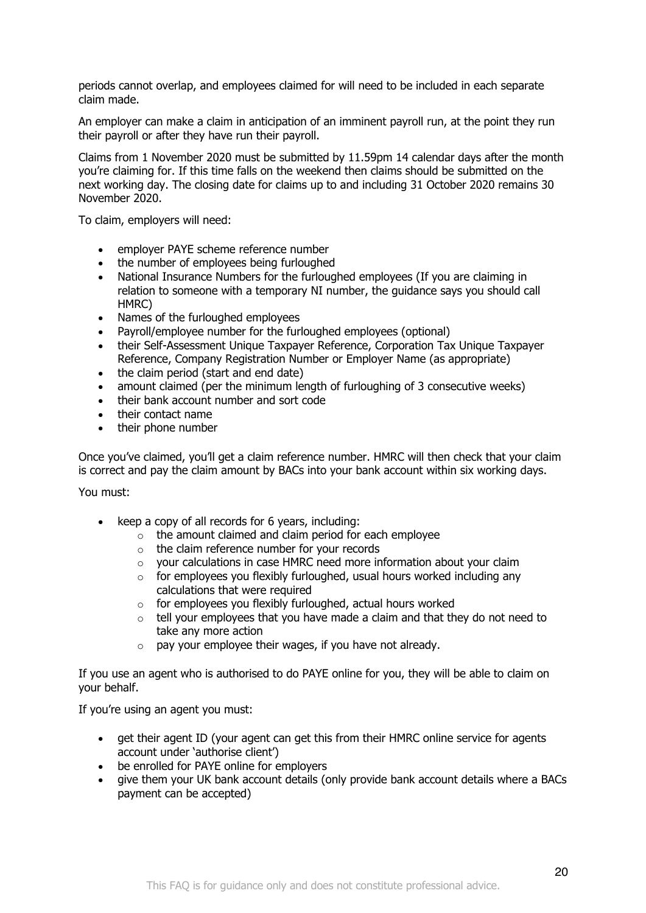periods cannot overlap, and employees claimed for will need to be included in each separate claim made.

An employer can make a claim in anticipation of an imminent payroll run, at the point they run their payroll or after they have run their payroll.

Claims from 1 November 2020 must be submitted by 11.59pm 14 calendar days after the month you're claiming for. If this time falls on the weekend then claims should be submitted on the next working day. The closing date for claims up to and including 31 October 2020 remains 30 November 2020.

To claim, employers will need:

- employer PAYE scheme reference number
- the number of employees being furloughed
- National Insurance Numbers for the furloughed employees (If you are claiming in relation to someone with a temporary NI number, the guidance says you should call HMRC)
- Names of the furloughed employees
- Payroll/employee number for the furloughed employees (optional)
- their Self-Assessment Unique Taxpayer Reference, Corporation Tax Unique Taxpayer Reference, Company Registration Number or Employer Name (as appropriate)
- the claim period (start and end date)
- amount claimed (per the minimum length of furloughing of 3 consecutive weeks)
- their bank account number and sort code
- their contact name
- their phone number

Once you've claimed, you'll get a claim reference number. HMRC will then check that your claim is correct and pay the claim amount by BACs into your bank account within six working days.

You must:

- keep a copy of all records for 6 years, including:
	- $\circ$  the amount claimed and claim period for each employee
	- o the claim reference number for your records
	- o your calculations in case HMRC need more information about your claim
	- $\circ$  for employees you flexibly furloughed, usual hours worked including any calculations that were required
	- o for employees you flexibly furloughed, actual hours worked
	- $\circ$  tell your employees that you have made a claim and that they do not need to take any more action
	- o pay your employee their wages, if you have not already.

If you use an agent who is authorised to do PAYE online for you, they will be able to claim on your behalf.

If you're using an agent you must:

- get their agent ID (your agent can get this from their HMRC online service for agents account under 'authorise client')
- be enrolled for PAYE online for employers
- give them your UK bank account details (only provide bank account details where a BACs payment can be accepted)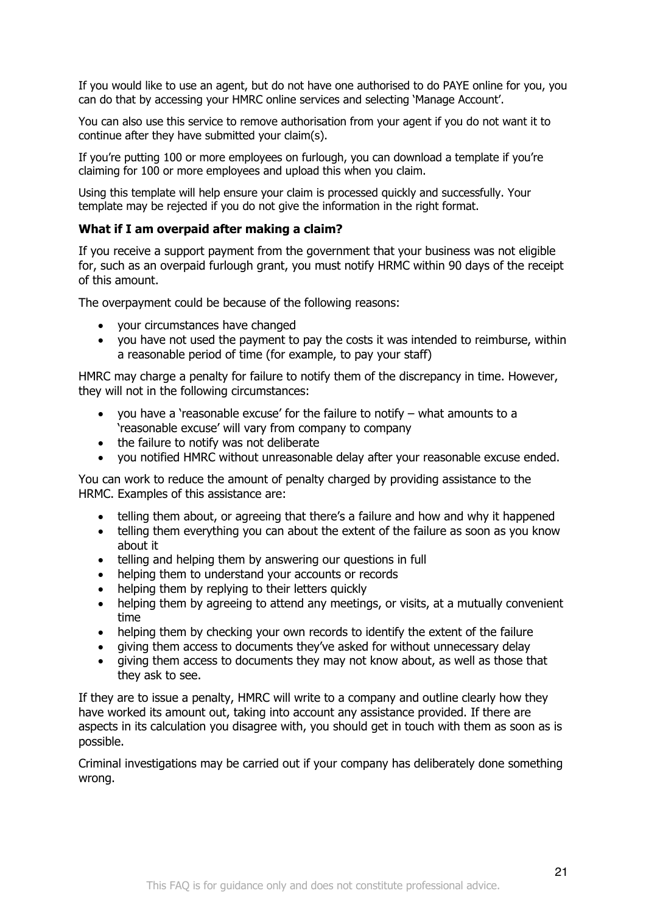If you would like to use an agent, but do not have one authorised to do PAYE online for you, you can do that by accessing your HMRC online services and selecting 'Manage Account'.

You can also use this service to remove authorisation from your agent if you do not want it to continue after they have submitted your claim(s).

If you're putting 100 or more employees on furlough, you can download a template if you're claiming for 100 or more employees and upload this when you claim.

Using this template will help ensure your claim is processed quickly and successfully. Your template may be rejected if you do not give the information in the right format.

### **What if I am overpaid after making a claim?**

If you receive a support payment from the government that your business was not eligible for, such as an overpaid furlough grant, you must notify HRMC within 90 days of the receipt of this amount.

The overpayment could be because of the following reasons:

- your circumstances have changed
- you have not used the payment to pay the costs it was intended to reimburse, within a reasonable period of time (for example, to pay your staff)

HMRC may charge a penalty for failure to notify them of the discrepancy in time. However, they will not in the following circumstances:

- you have a 'reasonable excuse' for the failure to notify what amounts to a 'reasonable excuse' will vary from company to company
- the failure to notify was not deliberate
- you notified HMRC without unreasonable delay after your reasonable excuse ended.

You can work to reduce the amount of penalty charged by providing assistance to the HRMC. Examples of this assistance are:

- telling them about, or agreeing that there's a failure and how and why it happened
- telling them everything you can about the extent of the failure as soon as you know about it
- telling and helping them by answering our questions in full
- helping them to understand your accounts or records
- helping them by replying to their letters quickly
- helping them by agreeing to attend any meetings, or visits, at a mutually convenient time
- helping them by checking your own records to identify the extent of the failure
- giving them access to documents they've asked for without unnecessary delay
- giving them access to documents they may not know about, as well as those that they ask to see.

If they are to issue a penalty, HMRC will write to a company and outline clearly how they have worked its amount out, taking into account any assistance provided. If there are aspects in its calculation you disagree with, you should get in touch with them as soon as is possible.

Criminal investigations may be carried out if your company has deliberately done something wrong.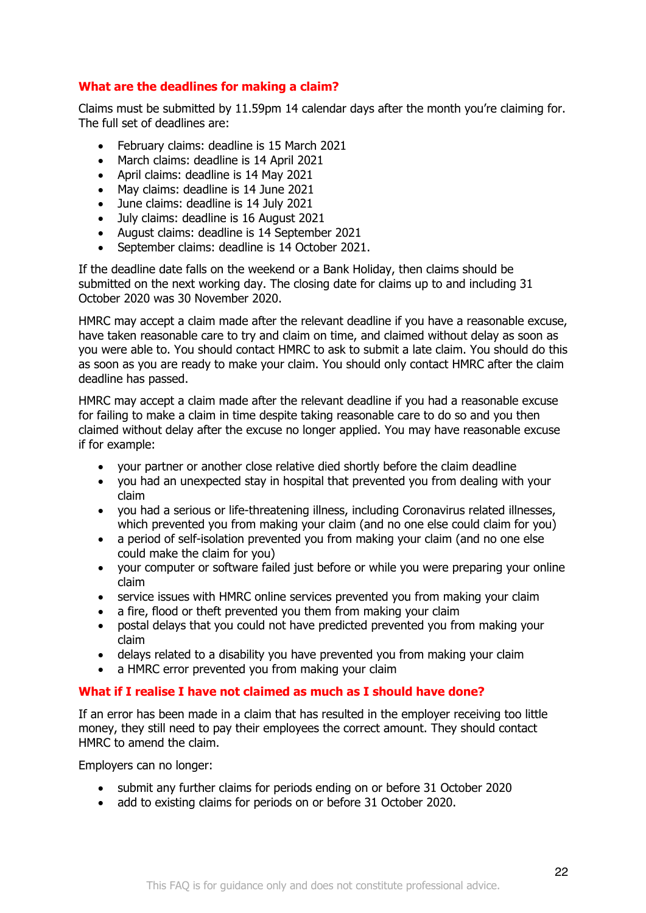# **What are the deadlines for making a claim?**

Claims must be submitted by 11.59pm 14 calendar days after the month you're claiming for. The full set of deadlines are:

- February claims: deadline is 15 March 2021
- March claims: deadline is 14 April 2021
- April claims: deadline is 14 May 2021
- May claims: deadline is 14 June 2021
- June claims: deadline is 14 July 2021
- July claims: deadline is 16 August 2021
- August claims: deadline is 14 September 2021
- September claims: deadline is 14 October 2021.

If the deadline date falls on the weekend or a Bank Holiday, then claims should be submitted on the next working day. The closing date for claims up to and including 31 October 2020 was 30 November 2020.

HMRC may accept a claim made after the relevant deadline if you have a reasonable excuse, have taken reasonable care to try and claim on time, and claimed without delay as soon as you were able to. You should contact HMRC to ask to submit a late claim. You should do this as soon as you are ready to make your claim. You should only contact HMRC after the claim deadline has passed.

HMRC may accept a claim made after the relevant deadline if you had a reasonable excuse for failing to make a claim in time despite taking reasonable care to do so and you then claimed without delay after the excuse no longer applied. You may have reasonable excuse if for example:

- your partner or another close relative died shortly before the claim deadline
- you had an unexpected stay in hospital that prevented you from dealing with your claim
- you had a serious or life-threatening illness, including Coronavirus related illnesses, which prevented you from making your claim (and no one else could claim for you)
- a period of self-isolation prevented you from making your claim (and no one else could make the claim for you)
- your computer or software failed just before or while you were preparing your online claim
- service issues with HMRC online services prevented you from making your claim
- a fire, flood or theft prevented you them from making your claim
- postal delays that you could not have predicted prevented you from making your claim
- delays related to a disability you have prevented you from making your claim
- a HMRC error prevented you from making your claim

# **What if I realise I have not claimed as much as I should have done?**

If an error has been made in a claim that has resulted in the employer receiving too little money, they still need to pay their employees the correct amount. They should contact HMRC to amend the claim.

Employers can no longer:

- submit any further claims for periods ending on or before 31 October 2020
- add to existing claims for periods on or before 31 October 2020.